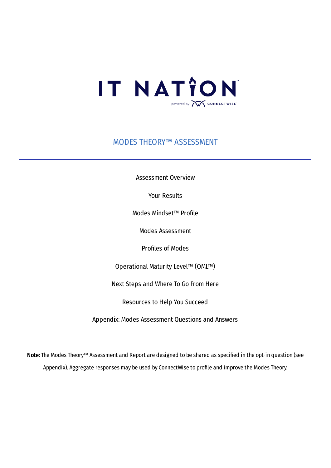

# MODES THEORY™ ASSESSMENT

Assessment Overview

Your Results

Modes Mindset™ Pro�le

Modes Assessment

Profiles of Modes

Operational Maturity Level™ (OML™)

Next Steps and Where To Go From Here

Resources to Help You Succeed

Appendix: Modes Assessment Questions and Answers

Note: The Modes Theory™ Assessment and Report are designed to be shared as specified in the opt-in question (see Appendix). Aggregate responses may be used by ConnectWise to profile and improve the Modes Theory.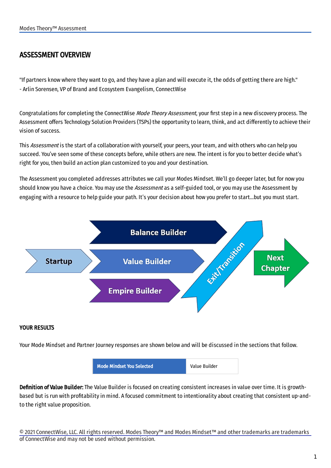# ASSESSMENT OVERVIEW

"If partners know where they want to go, and they have a plan and will execute it, the odds of getting there are high." - Arlin Sorensen, VP of Brand and Ecosystem Evangelism, ConnectWise

Congratulations for completing the ConnectWise Mode Theory Assessment, your first step in a new discovery process. The Assessment offers Technology Solution Providers (TSPs) the opportunity to learn, think, and act differently to achieve their vision of success.

This Assessment is the start of a collaboration with yourself, your peers, your team, and with others who can help you succeed. You've seen some of these concepts before, while others are new. The intent is for you to better decide what's right for you, then build an action plan customized to you and your destination.

The Assessment you completed addresses attributes we call your Modes Mindset. We'll go deeper later, but for now you should know you have a choice. You may use the Assessment as a self-guided tool, or you may use the Assessment by engaging with a resource to help guide your path. It's your decision about how you prefer to start...but you must start.



#### YOUR RESULTS

Your Mode Mindset and Partner Journey responses are shown below and will be discussed in the sections that follow.



Definition of Value Builder: The Value Builder is focused on creating consistent increases in value over time. It is growthbased but is run with pro�tability in mind. A focused commitment to intentionality about creating that consistent up-andto the right value proposition.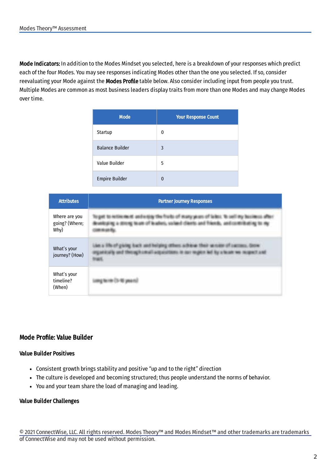Mode Indicators: In addition to the Modes Mindset you selected, here is a breakdown of your responses which predict each of the four Modes. You may see responses indicating Modes other than the one you selected. If so, consider reevaluating your Mode against the Modes Profile table below. Also consider including input from people you trust. Multiple Modes are common as most business leaders display traits from more than one Modes and may change Modes over time.

| <b>Mode</b>            | <b>Your Response Count</b> |
|------------------------|----------------------------|
| Startup                | 0                          |
| <b>Balance Builder</b> | 3                          |
| Value Builder          | 5                          |
| <b>Empire Builder</b>  | n                          |

| <b>Attributes</b>                       | <b>Partner Journey Responses</b> |
|-----------------------------------------|----------------------------------|
| Where are you<br>going? (Where;<br>Why) |                                  |
| What's your<br>journey? (How)           |                                  |
| What's your<br>timeline?<br>(When)      |                                  |

## Mode Pro�le: Value Builder

#### Value Builder Positives

- Consistent growth brings stability and positive "up and to the right" direction
- The culture is developed and becoming structured; thus people understand the norms of behavior.
- You and your team share the load of managing and leading.

#### Value Builder Challenges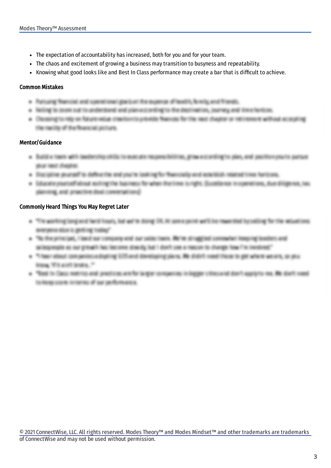- The expectation of accountability has increased, both for you and for your team.
- The chaos and excitement of growing a business may transition to busyness and repeatability.
- Knowing what good looks like and Best In Class performance may create a bar that is difficult to achieve.

#### Common Mistakes

- Pursuing �nancial and operational goals at the expense of health, family, and friends.
- Failing to zoom out to understand and plan according to the destination, journey, and time horizon.
- Choosing to rely on future value creation to provide �nances for the next chapter or retirement without accepting the reality of the �nancial picture.

#### Mentor/Guidance

- Build a team with leadership skills to execute responsibilities, grow according to plan, and position you to pursue your next chapter.
- Discipline yourself to de�ne the end you're looking for �nancially and establish related time horizons.
- Educate yourself about exiting the business for when the time is right. (Excellence in operations, due diligence, tax planning, and proactive deal conversations)

#### Commonly Heard Things You May Regret Later

- "I'm working long and hard hours, but we're doing OK. At some point we'll be rewarded by selling for the valuations everyone else is getting today."
- a "No the principal, I lead our company and our sales team. Write struggled somewhat keep salespeople as our growth has become steady, but I don't see a reason to change how I'm involved."
- "I hear about companies adopting EOS and developing plans. We didn't need those to get where we are, so you know, 'if it ain't broke…'"
- "Best In Class metrics and practices are for larger companies in bigger cities and don't apply to me. We don't need to keep score in terms of our performance.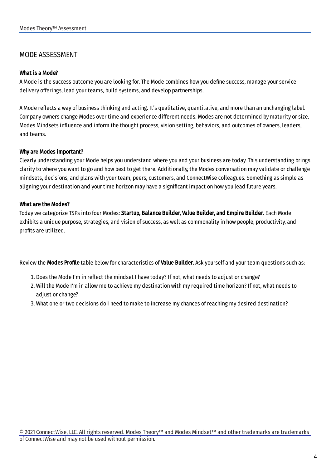## MODE ASSESSMENT

#### What is a Mode?

A Mode is the success outcome you are looking for. The Mode combines how you define success, manage your service delivery offerings, lead your teams, build systems, and develop partnerships.

A Mode reflects a way of business thinking and acting. It's qualitative, quantitative, and more than an unchanging label. Company owners change Modes over time and experience different needs. Modes are not determined by maturity or size. Modes Mindsets influence and inform the thought process, vision setting, behaviors, and outcomes of owners, leaders, and teams.

#### Why are Modes important?

Clearly understanding your Mode helps you understand where you and your business are today. This understanding brings clarity to where you want to go and how best to get there. Additionally, the Modes conversation may validate or challenge mindsets, decisions, and plans with your team, peers, customers, and ConnectWise colleagues. Something as simple as aligning your destination and your time horizon may have a signi�cant impact on how you lead future years.

#### What are the Modes?

Today we categorize TSPs into four Modes: Startup, Balance Builder, Value Builder, and Empire Builder. Each Mode exhibits a unique purpose, strategies, and vision of success, as well as commonality in how people, productivity, and profits are utilized.

Review the Modes Profile table below for characteristics of Value Builder. Ask yourself and your team questions such as:

- 1. Does the Mode I'm in reflect the mindset I have today? If not, what needs to adjust or change?
- �. Will the Mode I'm in allow me to achieve my destination with my required time horizon? If not, what needs to adjust or change?
- �. What one or two decisions do I need to make to increase my chances of reaching my desired destination?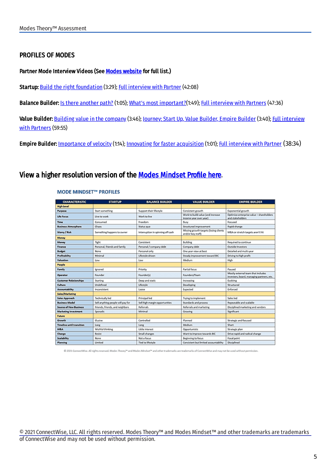### PROFILES OF MODES

Partner Mode Interview Videos (See Modes website for full list.)

Startup: Build the right foundation (3:29); Full interview with Partner (42:08)

Balance Builder: Is there another path? (1:05); What's most important? (1:49); Full interview with Partners (47:36)

Value Builder: Building value in the company (3:46); Journey: Start Up, Value Builder, Empire Builder (3:40); Full interview with Partners (59:55)

Empire Builder: <u>Importance of velocity</u> (1:14); Innovating for faster acquisition (1:01); Full interview with Partner (38:34)

## View a higher resolution version of the Modes Mindset Profile here.

| <b>CHARACTERISTIC</b>            | <b>STARTUP</b>                    | <b>BALANCE BUILDER</b>            | <b>VALUE BUILDER</b>                                        | <b>EMPIRE BUILDER</b>                                                           |
|----------------------------------|-----------------------------------|-----------------------------------|-------------------------------------------------------------|---------------------------------------------------------------------------------|
| <b>High Level</b>                |                                   |                                   |                                                             |                                                                                 |
| Purpose                          | Start something                   | Support their lifestyle           | Consistent growth                                           | Exponential growth                                                              |
| <b>Life Focus</b>                | Live to work                      | Work to live                      | Work to build value (and increase<br>income year over year) | Optimize enterprise value - shareholders<br>and stakeholders                    |
| Time                             | Consumed                          | Freedom                           | Busy                                                        | Focused                                                                         |
| <b>Business Atmosphere</b>       | <b>Chaos</b>                      | Status quo                        | Structured improvement                                      | Rapid change                                                                    |
| Worry / Risk                     | Something happens to owner        | Interruption in spinning off cash | Missing growth targets (losing clients<br>and/or key staff) | M&A or stretch targets aren't hit                                               |
| Money                            |                                   |                                   |                                                             |                                                                                 |
| Money                            | Tight                             | Consistent                        | <b>Building</b>                                             | Required to continue                                                            |
| Finance                          | Personal, friends and family      | Personal / company debt           | Company debt                                                | Outside Investors                                                               |
| <b>Budget</b>                    | None                              | Personal only                     | One year view at best                                       | Detailed and multi-year                                                         |
| <b>Profitability</b>             | Minimal                           | Lifestyle driven                  | Steady Improvement toward BIC                               | Driving to high profit                                                          |
| Valuation                        | Low                               | tow                               | Medium                                                      | High                                                                            |
| People                           |                                   |                                   |                                                             |                                                                                 |
| Family                           | tenored                           | Priority                          | <b>Partial focus</b>                                        | Paused                                                                          |
| Operator                         | Founder                           | Founder(s)                        | Founders/Team                                               | Mostly external team that includes<br>investors, board, managing partners, etc. |
| <b>Customer Relationships</b>    | Starting                          | Deep and static                   | Increasing                                                  | Evolvine                                                                        |
| Culture                          | <b>Undefined</b>                  | Lifestyle                         | Developing                                                  | Structured                                                                      |
| Accountability                   | Inconsistent                      | toose                             | Expected                                                    | Enforced                                                                        |
| Sales/Marketing                  |                                   |                                   |                                                             |                                                                                 |
| Sales Approach                   | Technically led                   | Principal led                     | Trying to implement                                         | Sales led                                                                       |
| <b>Business Model</b>            | Sell anything people will pay for | Sell high margin opportunities    | Standards and process                                       | Repeatable and scalable                                                         |
| <b>Source of New Business</b>    | Friends, friends, and neighbors   | Referrals                         | Referrals and marketing                                     | Disciplined marketing and vendors                                               |
| <b>Marketing Investment</b>      | Sporadio                          | Minimal                           | Growing                                                     | Significant                                                                     |
| Future                           |                                   |                                   |                                                             |                                                                                 |
| Grawth                           | Elusive                           | Controlled                        | Planned                                                     | Strategic and focused                                                           |
| <b>Timeline until transition</b> | Long                              | Long                              | Medium                                                      | Short.                                                                          |
| <b>M&amp;A</b>                   | Wishful thinking                  | Little interest                   | Opportunistic                                               | Strategic plan                                                                  |
| Change                           | Resist                            | Small changes                     | Want to improve towards BIC                                 | Drive rapid and radical change                                                  |
| Scalability                      | None                              | Not a focus                       | <b>Beginning to focus</b>                                   | Focal point                                                                     |
| <b>Planning</b>                  | Limited                           | Tied to lifestyle                 | Consistent but limited accountability                       | Disclofined                                                                     |

#### **MODE MINDSET™ PROFILES**

@ 2021 ConnectWise, All rights reserved. Modes Theory<sup>ne</sup> and Modes Mindset<sup>he</sup> and other trademarks are trademarks of Con-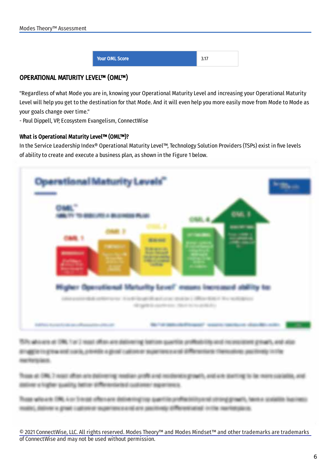| <b>Your OML Score</b> | 3.17 |
|-----------------------|------|
|-----------------------|------|

## OPERATIONAL MATURITY LEVEL™ (OML™)

"Regardless of what Mode you are in, knowing your Operational Maturity Level and increasing your Operational Maturity Level will help you get to the destination for that Mode. And it will even help you more easily move from Mode to Mode as your goals change over time."

- Paul Dippell, VP, Ecosystem Evangelism, ConnectWise

#### What is Operational Maturity Level™ (OML™)?

In the Service Leadership Index® Operational Maturity Level™, Technology Solution Providers (TSPs) exist in five levels of ability to create and execute a business plan, as shown in the Figure 1 below.



TSPs who are at OML 1 or 2 most often are delivering bottom quartile pro�tability and inconsistent growth, and also struggle to grow and scale, provide a good customer experience and differentiate themselves positively in the marketplace.

Those at OML 3 most often are delivering median pro�t and moderate growth, and are starting to be more scalable, and deliver a higher quality, better differentiated customer experience.

Those who are OML 4 or 5 most often are delivering top quartile pro�tability and strong growth, have a scalable business model, deliver a great customer experience and are positively differentiated in the marketplace.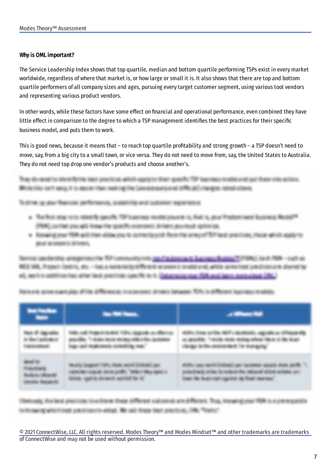### Why is OML important?

The Service Leadership Index shows that top quartile, median and bottom quartile performing TSPs exist in every market worldwide, regardless of where that market is, or how large or small it is. It also shows that there are top and bottom quartile performers of all company sizes and ages, pursuing every target customer segment, using various tool vendors and representing various product vendors.

In other words, while these factors have some effect on financial and operational performance, even combined they have little effect in comparison to the degree to which a TSP management identifies the best practices for their specific business model, and puts them to work.

This is good news, because it means that – to reach top quartile profitability and strong growth – a TSP doesn't need to move, say, from a big city to a small town, or vice versa. They do not need to move from, say, the United States to Australia. They do not need top drop one vendor's products and choose another's.

# They do need to identify the best practices which apply to their speci�c TSP business model and put them into action. While this isn't easy, it is easier than making the (unnecessary and dif�cult) changes noted above.

To drive up your �nancial performance, scalability and customer experience:

- The �rst step is to identify speci�c TSP business model you are in, that is, your Predominant Business Model™ (PBM), so that you will know the speci�c economic drivers you must optimize.
- Knowing your PBM will then allow you to correctly pick from the array of TSP best practices, those which apply to your economic drivers.

Service Leadership categorizes the TSP community into ten MSP, VAR, Project-Centric, etc. – has a materially different economic model and, while some best practices are shared by all, each in addition has other best practices speci�c to it. (Determine your PBM and learn more about OML.)

Here are some examples of the differences in economic drivers between TSPs in different business models:

| <b>But Institute</b><br>$\blacksquare$ | <b>In the fame.</b>                                     | of Milwaus Hall                                                  |
|----------------------------------------|---------------------------------------------------------|------------------------------------------------------------------|
| Note of Internation                    | THIS LIKE THIRD ENDING TOPS TO GRAVE STARTED.           | WAY: COA LITTLE MFT; AUSSIATI, AQUAN JL MTALWIRD                 |
| in the Lastinguid                      | providing. To static more storagy wide or the spottware | or ployers. This can make which them is the dealt                |
| <b>SECONDIZED</b>                      | Tops and implements scientificial state?                | cloops looks and ranged for managing?                            |
| <b>Book of</b>                         | Hourly loopest 1974; Assis secrit listened year         | AURI (an) work (colora) are lockened apack more ports.           |
| <b>Bellette Hilbrandt</b>              | caldyries logical development. When they spent a        | proportingly comes to re-duce this interest lighted automa call. |
| product days at                        | licitude, 1 gant for discussion assistant that 14.      | trans the linear cast upp inst my fixed manager."                |

Obviously, the best practices to achieve these different outcomes are different. Thus, knowing your PBM is a prerequisite to knowing which best practices to adopt. We call these best practices, OML "Traits".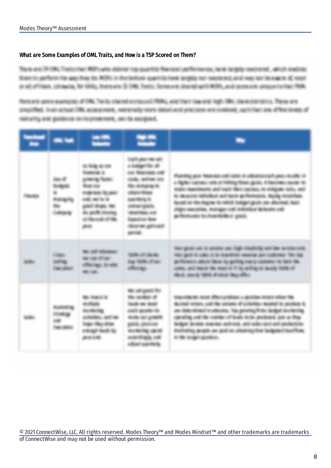#### What are Some Examples of OML Traits, and How is a TSP Scored on Them?

There are 39 OML Traits that MSPs who deliver top quartile �nancial performance, have largely mastered , which enables them to perform the way they do. MSPs in the bottom quartile have largely not mastered, and may not be aware of, most or all of them. Likewise, for VARs, there are 32 OML Traits. Some are shared with MSPs, and so recent are

Here are some examples of OML Traits shared across all PBMs, and their low and high OML characteristics. These are simplified. In an actual OML assessment, materially more detail and precision are involved, such that one of Westlevels of maturity, and guidance on improvement, can be assigned.

|               | $\cdots$                | ≕                                                                                                                                                                                                      | ≈                                                                                                                                                                                                                                                      | -                                                                                                                                                                                                                                                                                                                                                                                                                                                            |
|---------------|-------------------------|--------------------------------------------------------------------------------------------------------------------------------------------------------------------------------------------------------|--------------------------------------------------------------------------------------------------------------------------------------------------------------------------------------------------------------------------------------------------------|--------------------------------------------------------------------------------------------------------------------------------------------------------------------------------------------------------------------------------------------------------------------------------------------------------------------------------------------------------------------------------------------------------------------------------------------------------------|
| <b>Texas</b>  | a<br>Amerika<br>Compone | <b>R1996 4010</b><br><b>Traverse is</b><br>prisoning Hankin<br><b>Business</b><br>come many than provided<br><b><i>USE MATRIX</i></b><br>paint shape. We<br>to anthonicate<br>at Novel of His<br>an ac | Each play we did<br>a transporter all<br>cor Newman craft<br>code, and we can<br>the avearage to<br><b>URSEY RIGHT</b><br>concrete type<br>comment genetic.<br><b>MARTINEZ U.S.</b><br><b><i>Ispanifica: New</i></b><br>door we get cost?<br>agencies. | Flatvilley apply Need Her Lold Cable, it collection to by person booths in<br>a higher castosic sale or linting than gives. A histories social lin-<br>India: Issuelleants, and track Skirt calcioss, to indigate richi, and<br>is dealers reflekted and dark guitaments. April, locations<br>lected on the August to selkill builder grate and allowings, lead.<br>sign securite, mange criticalistics initiate criti<br>preferences to chancels about your |
| <b>SURGIT</b> | ÷.                      | <b>SECURITY AND REAL PROPERTY</b><br><b>MESSENGE</b><br>(Photography and working)<br><b>MAY LOW </b>                                                                                                   | <b>SORE OF OWNER</b><br>ing rather from:<br><b>Part ISO</b>                                                                                                                                                                                            | Yer grati as it works as high cleaterly will be arollocate<br>For golf it cable is to marketic needing plans address. The light<br>profession, allock thinks by giving nearly consider to last the<br>come, and most the most is it by anitag to monity today of<br>Mark, Alanta 1889, all labat 1943 all'illo                                                                                                                                               |
| <b>SHEET</b>  |                         | <b>B</b> Habit it<br>LISTANDO, ANTI MEI<br><b>Valley Dilloy (Pilley</b><br>official figures<br>gast out.                                                                                               | We see good for<br>the sealther of<br>tools on most<br>carly guarter to:<br><b><i>ROBE BEIGHT</i>ON</b><br>grads, sharknay.<br><b>Assistant generalists</b><br><b>USE/RINGS 1997</b><br>addiservation mention.                                         | traccine de mod differentiate a gestion return relief the<br>decimal relates cost the collated of scritchies moded to produce it.<br>an determinent tradecree, has proving from belief the heritag<br>specific yet the notifier of feath to be professed and at they<br>Scillars levele mente animale, ani solo ani animalizio.<br>matitizer's and provides a state on state promised<br>or the recipies quantities.                                         |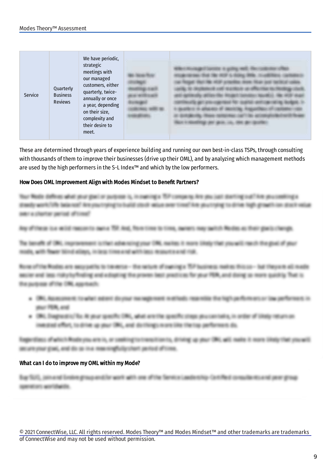| Service | Quarterly<br><b>Business</b><br>Reviews | We have periodic,<br>strategic<br>meetings with<br>our managed<br>customers, either<br>quarterly, twice-<br>annually or once<br>a year, depending<br>on their size,<br>complexity and<br>their desire to<br>meet. |  |  |
|---------|-----------------------------------------|-------------------------------------------------------------------------------------------------------------------------------------------------------------------------------------------------------------------|--|--|
|---------|-----------------------------------------|-------------------------------------------------------------------------------------------------------------------------------------------------------------------------------------------------------------------|--|--|

These are determined through years of experience building and running our own best-in-class TSPs, through consulting with thousands of them to improve their businesses (drive up their OML), and by analyzing which management methods are used by the high performers in the S-L Index™ and which by the low performers.

#### How Does OML Improvement Align with Modes Mindset to Benefit Partners?

Your Mode de�nes what your goal or purpose is, in owning a TSP company. Are you just starting out? Are you seeking a steady work/life balance? Are you trying to build stock value over time? Are you trying to drive high growth ion stock value over a shorter period of time?

Any of these is a valid reason to own a TSP. And, from time to time, owners may switch Modes as their goals change.

The bene�t of OML improvement is that advancing your OML makes it more likely that you will reach the goal of your mode, with fewer blind alleys, in less time and with less resource and risk.

None of the Modes are easy paths to traverse – the nature of owning a TSP business makes this so – but they are all made easier and less risky by �nding and adopting the proven best practices for your PBM, and doing so more quickly. That is the purpose of the OML approach:

- OML Assessment: to what extent do your management methods resemble the high performers or low performers in your PBM, and
- OML Diagnostic/Rx: At your speci�c OML, what are the speci�c steps you can take, in order of likely return on invested effort, to drive up your OML, and do things more like the top performers do.

Regardless of which Mode you are in, or seeking to transition to, driving up your OML will make it more likely that you will secure your goal, and do so in a meaningfully short period of time.

#### What can I do to improve my OML within my Mode?

Buy SLIQ, join and Evolve group and/or work with one of the Service Leadership-Certi�ed consultants and peer group operators worldwide.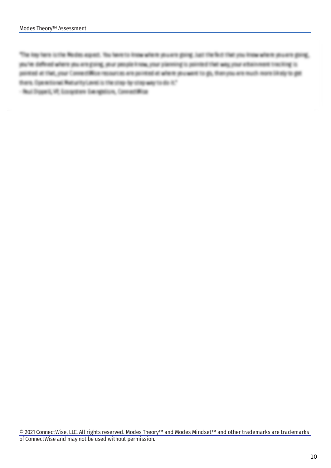#### Modes Theory™ Assessment

"The key here is the Modes aspect. You have to know where you are going. Just the fact that you know where you are going, you've de�ned where you are going, your people know, your planning is pointed that way, your attainment tracking is pointed at that, your ConnectWise resources are pointed at where you want to go, then you are much more likely to get there. Operational Maturity Level is the step-by-step way to do it."

- Paul Dippell, VP, Ecosystem Evangelism, ConnectWise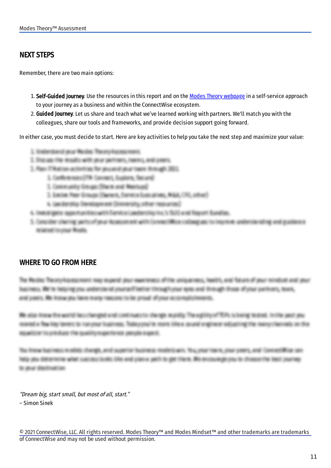## NEXT STEPS

Remember, there are two main options:

- 1. Self-Guided Journey. Use the resources in this report and on the Modes Theory webpage in a self-service approach to your journey as a business and within the ConnectWise ecosystem.
- 2. Guided Journey. Let us share and teach what we've learned working with partners. We'll match you with the colleagues, share our tools and frameworks, and provide decision support going forward.

In either case, you must decide to start. Here are key activities to help you take the next step and maximize your value:

�. Understand your Modes Theory Assessment.

- �. Discuss the results with your partners, teams, and peers.
- �. Plan IT Nation activities for you and your team through 2022.
	- �. Conferences (ITN Connect, Explore, Secure)
	- �. Community Groups (Share and Meetups)
	- �. Evolve Peer Groups (Owners, Service Executives, M&A, CFO, other)
	- �. Leadership Development (University, other resources)
- �. Investigate opportunities with Service Leadership Inc.'s SLIQ and Report Bundles.
- �. Consider sharing parts of your Assessment with ConnectWise colleagues to improve understanding and guidance related to your Mode.

## WHERE TO GO FROM HERE

The Modes Theory Assessment may expand your awareness of the uniqueness, health, and future of your mindset and your business. We're helping you understand yourself better through your eyes and through those of your partners, team, and peers. We know you have many reasons to be proud of your acc

We also know the world has changed and continues to change rapidly. The agility of TSPs is being tested. In the past you moved a few key levers to run your business. Today you're more like a sound engineer adjusting the many channels on the equalizer to produce the quality experience people expect.

You know business models change, and superior business models win. You, your team, your peers, and Connect help you determine what success looks like and plan a path to get there. We encourage you to choose the best journey to your destination

"Dream big, start small, but most of all, start." – Simon Sinek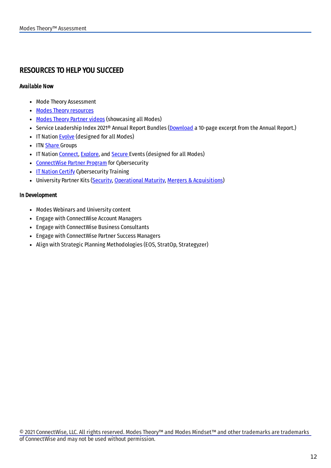# RESOURCES TO HELP YOU SUCCEED

### Available Now

- Mode Theory Assessment
- Modes Theory resources
- Modes Theory Partner videos (showcasing all Modes)
- Service Leadership Index 2021® Annual Report Bundles (Download a 10-page excerpt from the Annual Report.)
- IT Nation **Evolve** (designed for all Modes)
- ITN Share Groups
- IT Nation Connect, Explore, and Secure Events (designed for all Modes)
- ConnectWise Partner Program for Cybersecurity
- IT Nation Certify Cybersecurity Training
- University Partner Kits (Security, Operational Maturity, Mergers & Acquisitions)

#### In Development

- Modes Webinars and University content
- Engage with ConnectWise Account Managers
- Engage with ConnectWise Business Consultants
- Engage with ConnectWise Partner Success Managers
- Align with Strategic Planning Methodologies (EOS, StratOp, Strategyzer)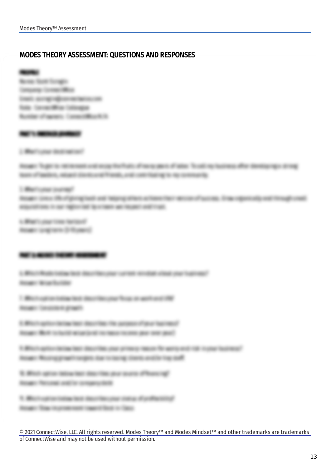# MODES THEORY ASSESSMENT: QUESTIONS AND RESPONSES

#### PART 1: PARTNER JOURNEY

2. What's your destination?

Answer: To get to retirement and enjoy the fruits of many years of labor. To sell my business after developing a strong team of leaders, valued clients and friends, and contributing to my community.

3. What's your journey?

Answer: Live a life of giving back and helping others achieve their version of success. Grow organically and through small acquisitions in our region led by a team we respect and trust.

4. What's your time horizon? Answer: Long term (5-10 years)

#### PART 2: MODES THEORY ASSESSMENT

6. Which Mode below best describes your current mindset about your business? Answer: Value Builder 7. Which option below best describes your focus on work and life? Answer: Consistent growth 8. Which option below best describes the purpose of your business? Answer: Work to build value (and increase income year over year) 9. Which option below best describes your primary reason for worry and risk in your business? Answer: Missing growth targets due to losing clients and/or key staff.

10. Which option below best describes your source of �nancing?

Answer: Personal and/or company debt

11. Which option below best describes your status of pro�tability? Answer: Slow improvement toward Best in Class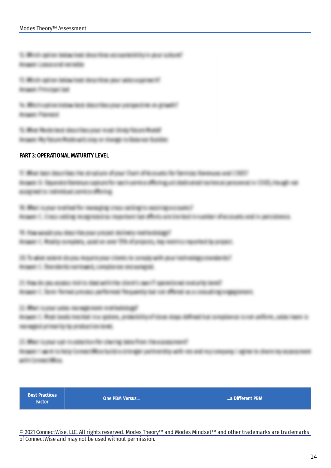12. Which option below best describes accountability in your culture? Answer: Loose and variable 13. Which option below best describes your sales approach? Answer: Principal led 14. Which option below best describes your perspective on growth? Answer: Planned 15. What Mode best describes your most likely future Mode? Answer: My future Mode will stay or change to Balance Builder.

### PART 3: OPERATIONAL MATURITY LEVEL

| 1. But tax decides its anatum afuser but allectuate for fannise bettives and USD<br>desper 1. Spende formule superville applications affecting all dedication reclassed processes to COSI, thraph and<br>scalate a record many speed |
|--------------------------------------------------------------------------------------------------------------------------------------------------------------------------------------------------------------------------------------|
| It the same retracts recept ray arrays serriconnel.<br>dealer 1. Once selling responsing registers for affects and condition of accounts and in perceives.                                                                           |
| 5. For enable you done file your prices declaring netherings?<br>desper 1. Rodity croppers, and or one TSIs of propriety, top mention equivient to proper.                                                                           |
| 25 Th after solemn double requirement classic to comply with your nationalize constants?<br>finant 1. Senderity services, constitute encompos-                                                                                       |
| 21 Year for your expect model with the district man of spectrum motivate tend.<br>linger 1. See Arneyman pellenar fessells he ut allest a consultat represent                                                                        |
| 1). What is play sales no supposed in all building?<br>dealer 1. Rue look monet to apper, prevently if our any definering creations to a white, who have a<br>the region or rear for the product can be de-                          |
| It then sums are contented for change modern the component<br>Braker / all in triding former Mour build in critically performing with the stati myromatics. All the following expensioned<br>anti-termination.                       |

| <b>Best Practices</b><br>One PBM Versus<br><b>Factor</b> | a Different PBM |
|----------------------------------------------------------|-----------------|
|----------------------------------------------------------|-----------------|